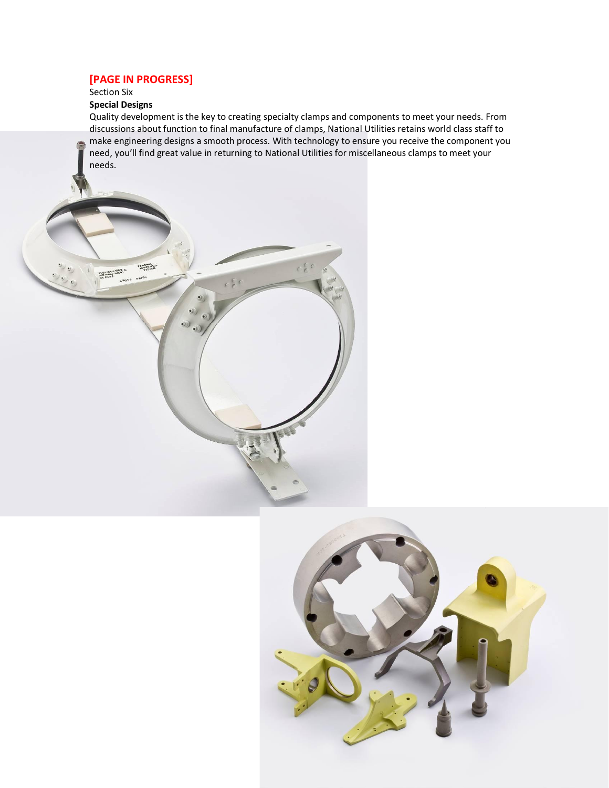# **[PAGE IN PROGRESS]**

**FAMILIAN** 

 $\mathcal{D}$  $\bullet$ வி

 $e_{10}e_{e}$   $0e_{10}$ 

## Section Six

**20 21784-2 REV. C**<br>**20 21784-2 REV. C**<br>20 ASSY

S

# **Special Designs**

Quality development is the key to creating specialty clamps and components to meet your needs. From discussions about function to final manufacture of clamps, National Utilities retains world class staff to make engineering designs a smooth process. With technology to ensure you receive the component you need, you'll find great value in returning to National Utilities for miscellaneous clamps to meet your needs.

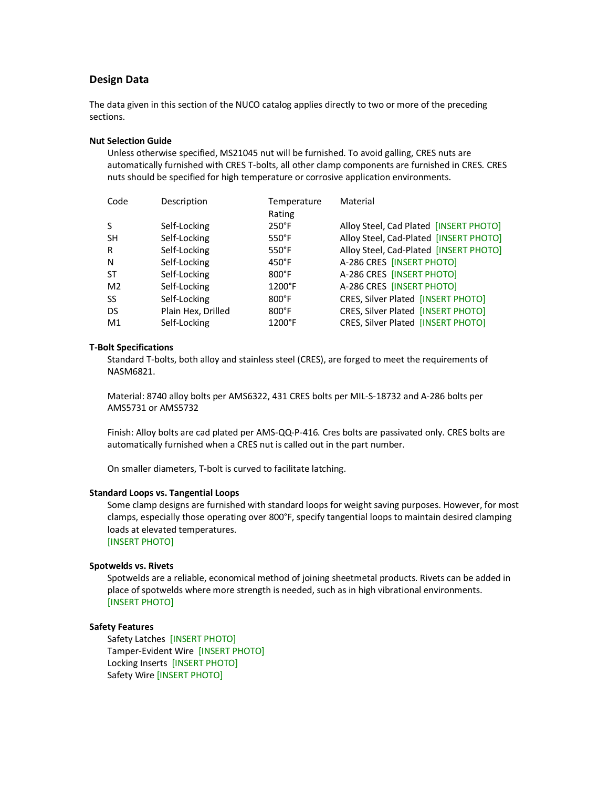## **Design Data**

The data given in this section of the NUCO catalog applies directly to two or more of the preceding sections.

#### **Nut Selection Guide**

Unless otherwise specified, MS21045 nut will be furnished. To avoid galling, CRES nuts are automatically furnished with CRES T-bolts, all other clamp components are furnished in CRES. CRES nuts should be specified for high temperature or corrosive application environments.

| Description        | Temperature      | Material                               |
|--------------------|------------------|----------------------------------------|
|                    | Rating           |                                        |
| Self-Locking       | $250^{\circ}$ F  | Alloy Steel, Cad Plated [INSERT PHOTO] |
| Self-Locking       | $550^\circ F$    | Alloy Steel, Cad-Plated [INSERT PHOTO] |
| Self-Locking       | $550^\circ F$    | Alloy Steel, Cad-Plated [INSERT PHOTO] |
| Self-Locking       | $450^{\circ}$ F  | A-286 CRES [INSERT PHOTO]              |
| Self-Locking       | $800^{\circ}$ F  | A-286 CRES [INSERT PHOTO]              |
| Self-Locking       | $1200^{\circ}$ F | A-286 CRES [INSERT PHOTO]              |
| Self-Locking       | $800^{\circ}$ F  | CRES, Silver Plated [INSERT PHOTO]     |
| Plain Hex, Drilled | $800^{\circ}$ F  | CRES, Silver Plated [INSERT PHOTO]     |
| Self-Locking       | 1200°F           | CRES, Silver Plated [INSERT PHOTO]     |
|                    |                  |                                        |

#### **T-Bolt Specifications**

Standard T-bolts, both alloy and stainless steel (CRES), are forged to meet the requirements of NASM6821.

Material: 8740 alloy bolts per AMS6322, 431 CRES bolts per MIL-S-18732 and A-286 bolts per AMS5731 or AMS5732

Finish: Alloy bolts are cad plated per AMS-QQ-P-416. Cres bolts are passivated only. CRES bolts are automatically furnished when a CRES nut is called out in the part number.

On smaller diameters, T-bolt is curved to facilitate latching.

#### **Standard Loops vs. Tangential Loops**

Some clamp designs are furnished with standard loops for weight saving purposes. However, for most clamps, especially those operating over 800°F, specify tangential loops to maintain desired clamping loads at elevated temperatures.

[INSERT PHOTO]

#### **Spotwelds vs. Rivets**

Spotwelds are a reliable, economical method of joining sheetmetal products. Rivets can be added in place of spotwelds where more strength is needed, such as in high vibrational environments. [INSERT PHOTO]

#### **Safety Features**

Safety Latches [INSERT PHOTO] Tamper-Evident Wire [INSERT PHOTO] Locking Inserts [INSERT PHOTO] Safety Wire [INSERT PHOTO]